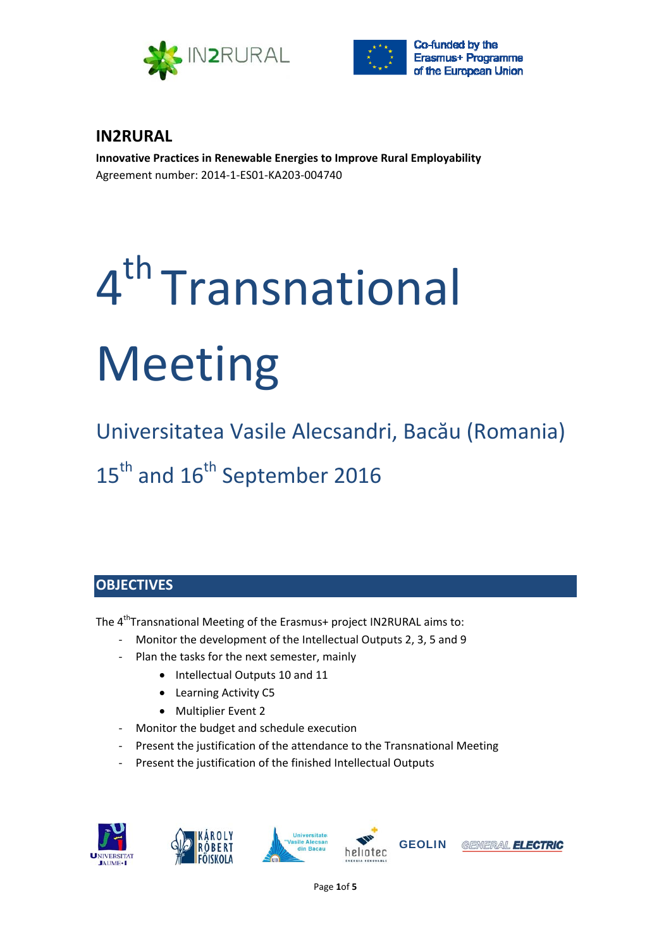



# **IN2RURAL**

**Innovative Practices in Renewable Energies to Improve Rural Employability** Agreement number: 2014‐1‐ES01‐KA203‐004740

# 4<sup>th</sup> Transnational Meeting

Universitatea Vasile Alecsandri, Bacău (Romania) 15<sup>th</sup> and 16<sup>th</sup> September 2016

# **OBJECTIVES**

The 4<sup>th</sup>Transnational Meeting of the Erasmus+ project IN2RURAL aims to:

- ‐ Monitor the development of the Intellectual Outputs 2, 3, 5 and 9
- Plan the tasks for the next semester, mainly
	- Intellectual Outputs 10 and 11
	- Learning Activity C5
	- Multiplier Event 2
- ‐ Monitor the budget and schedule execution
- ‐ Present the justification of the attendance to the Transnational Meeting
- ‐ Present the justification of the finished Intellectual Outputs











Page **1**of **5**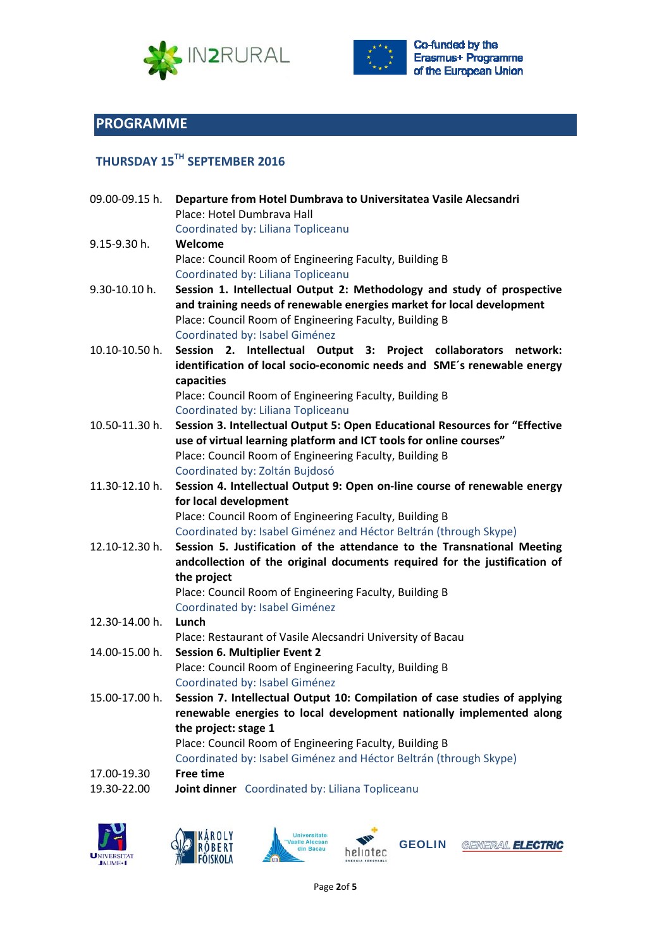



Co-funded by the Erasmus+ Programme of the European Union

# **PROGRAMME**

# **THURSDAY 15TH SEPTEMBER 2016**

| 09.00-09.15 h. | Departure from Hotel Dumbrava to Universitatea Vasile Alecsandri<br>Place: Hotel Dumbrava Hall |
|----------------|------------------------------------------------------------------------------------------------|
|                | Coordinated by: Liliana Topliceanu                                                             |
| 9.15-9.30 h.   | Welcome                                                                                        |
|                | Place: Council Room of Engineering Faculty, Building B                                         |
|                | Coordinated by: Liliana Topliceanu                                                             |
| 9.30-10.10 h.  | Session 1. Intellectual Output 2: Methodology and study of prospective                         |
|                | and training needs of renewable energies market for local development                          |
| 10.10-10.50 h. | Place: Council Room of Engineering Faculty, Building B                                         |
|                | Coordinated by: Isabel Giménez                                                                 |
|                | Session 2. Intellectual Output 3: Project collaborators network:                               |
|                | identification of local socio-economic needs and SME's renewable energy                        |
|                | capacities                                                                                     |
|                | Place: Council Room of Engineering Faculty, Building B                                         |
|                | Coordinated by: Liliana Topliceanu                                                             |
| 10.50-11.30 h. | Session 3. Intellectual Output 5: Open Educational Resources for "Effective                    |
|                | use of virtual learning platform and ICT tools for online courses"                             |
|                | Place: Council Room of Engineering Faculty, Building B                                         |
|                | Coordinated by: Zoltán Bujdosó                                                                 |
| 11.30-12.10 h. | Session 4. Intellectual Output 9: Open on-line course of renewable energy                      |
|                | for local development                                                                          |
|                | Place: Council Room of Engineering Faculty, Building B                                         |
|                | Coordinated by: Isabel Giménez and Héctor Beltrán (through Skype)                              |
| 12.10-12.30 h. | Session 5. Justification of the attendance to the Transnational Meeting                        |
|                | andcollection of the original documents required for the justification of                      |
|                | the project                                                                                    |
|                | Place: Council Room of Engineering Faculty, Building B                                         |
|                | Coordinated by: Isabel Giménez                                                                 |
| 12.30-14.00 h. | Lunch                                                                                          |
|                | Place: Restaurant of Vasile Alecsandri University of Bacau                                     |
| 14.00-15.00 h. | <b>Session 6. Multiplier Event 2</b>                                                           |
|                | Place: Council Room of Engineering Faculty, Building B                                         |
|                | Coordinated by: Isabel Giménez                                                                 |
|                | 15.00-17.00 h. Session 7. Intellectual Output 10: Compilation of case studies of applying      |
|                | renewable energies to local development nationally implemented along                           |
|                | the project: stage 1                                                                           |
|                | Place: Council Room of Engineering Faculty, Building B                                         |
|                | Coordinated by: Isabel Giménez and Héctor Beltrán (through Skype)                              |
| 17.00-19.30    | <b>Free time</b>                                                                               |
| 19.30-22.00    | Joint dinner Coordinated by: Liliana Topliceanu                                                |
|                |                                                                                                |









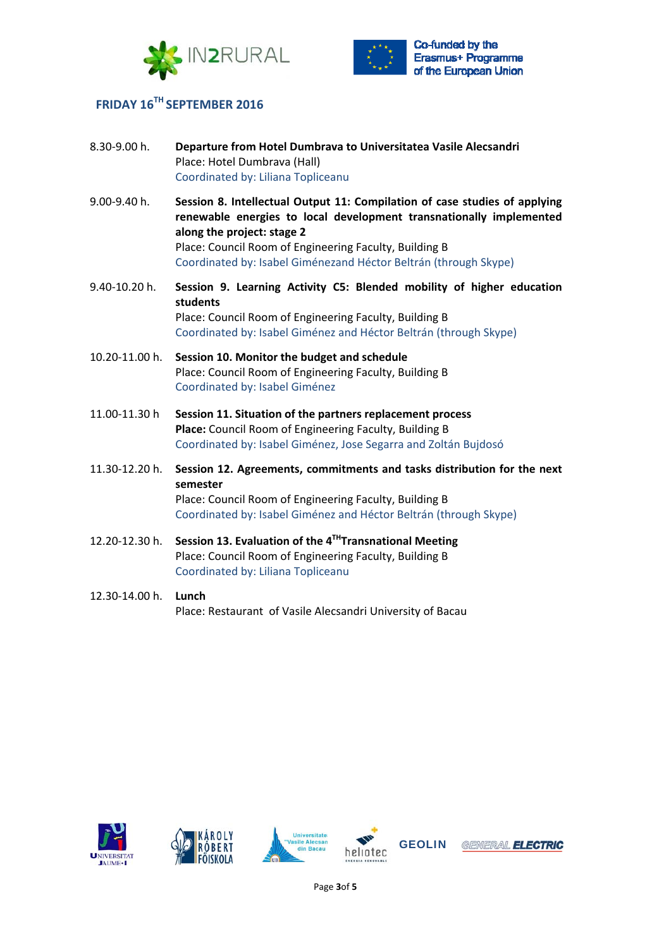



# **FRIDAY 16TH SEPTEMBER 2016**

| 8.30-9.00 h.   | Departure from Hotel Dumbrava to Universitatea Vasile Alecsandri<br>Place: Hotel Dumbrava (Hall)<br>Coordinated by: Liliana Topliceanu                                                                                                                                                                        |
|----------------|---------------------------------------------------------------------------------------------------------------------------------------------------------------------------------------------------------------------------------------------------------------------------------------------------------------|
| 9.00-9.40 h.   | Session 8. Intellectual Output 11: Compilation of case studies of applying<br>renewable energies to local development transnationally implemented<br>along the project: stage 2<br>Place: Council Room of Engineering Faculty, Building B<br>Coordinated by: Isabel Giménezand Héctor Beltrán (through Skype) |
| 9.40-10.20 h.  | Session 9. Learning Activity C5: Blended mobility of higher education<br>students<br>Place: Council Room of Engineering Faculty, Building B<br>Coordinated by: Isabel Giménez and Héctor Beltrán (through Skype)                                                                                              |
| 10.20-11.00 h. | Session 10. Monitor the budget and schedule<br>Place: Council Room of Engineering Faculty, Building B<br>Coordinated by: Isabel Giménez                                                                                                                                                                       |
| 11.00-11.30 h  | Session 11. Situation of the partners replacement process<br>Place: Council Room of Engineering Faculty, Building B<br>Coordinated by: Isabel Giménez, Jose Segarra and Zoltán Bujdosó                                                                                                                        |
| 11.30-12.20 h. | Session 12. Agreements, commitments and tasks distribution for the next<br>semester<br>Place: Council Room of Engineering Faculty, Building B<br>Coordinated by: Isabel Giménez and Héctor Beltrán (through Skype)                                                                                            |
| 12.20-12.30 h. | Session 13. Evaluation of the $4^{TH}$ Transnational Meeting<br>Place: Council Room of Engineering Faculty, Building B<br>Coordinated by: Liliana Topliceanu                                                                                                                                                  |
| 12.30-14.00 h. | Lunch<br>Place: Restaurant of Vasile Alecsandri University of Bacau                                                                                                                                                                                                                                           |









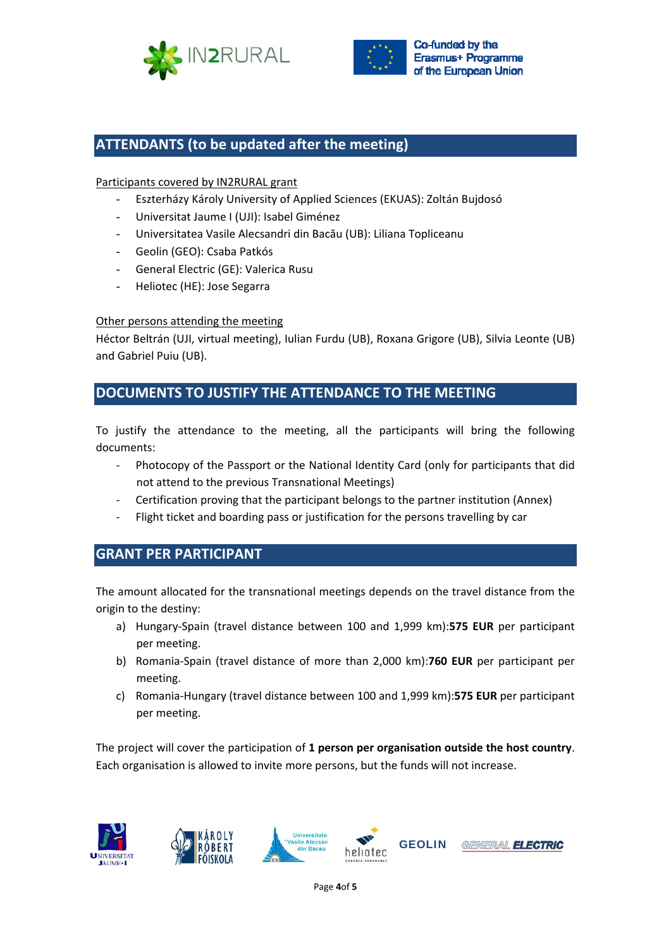



## **ATTENDANTS (to be updated after the meeting)**

#### Participants covered by IN2RURAL grant

- Eszterházy Károly University of Applied Sciences (EKUAS): Zoltán Bujdosó
- Universitat Jaume I (UJI): Isabel Giménez
- Universitatea Vasile Alecsandri din Bacău (UB): Liliana Topliceanu
- Geolin (GEO): Csaba Patkós
- General Electric (GE): Valerica Rusu
- Heliotec (HE): Jose Segarra

#### Other persons attending the meeting

Héctor Beltrán (UJI, virtual meeting), Iulian Furdu (UB), Roxana Grigore (UB), Silvia Leonte (UB) and Gabriel Puiu (UB).

## **DOCUMENTS TO JUSTIFY THE ATTENDANCE TO THE MEETING**

To justify the attendance to the meeting, all the participants will bring the following documents:

- ‐ Photocopy of the Passport or the National Identity Card (only for participants that did not attend to the previous Transnational Meetings)
- ‐ Certification proving that the participant belongs to the partner institution (Annex)
- Flight ticket and boarding pass or justification for the persons travelling by car

## **GRANT PER PARTICIPANT**

The amount allocated for the transnational meetings depends on the travel distance from the origin to the destiny:

- a) Hungary‐Spain (travel distance between 100 and 1,999 km):**575 EUR** per participant per meeting.
- b) Romania‐Spain (travel distance of more than 2,000 km):**760 EUR** per participant per meeting.
- c) Romania‐Hungary (travel distance between 100 and 1,999 km):**575 EUR** per participant per meeting.

The project will cover the participation of **1 person per organisation outside the host country**. Each organisation is allowed to invite more persons, but the funds will not increase.